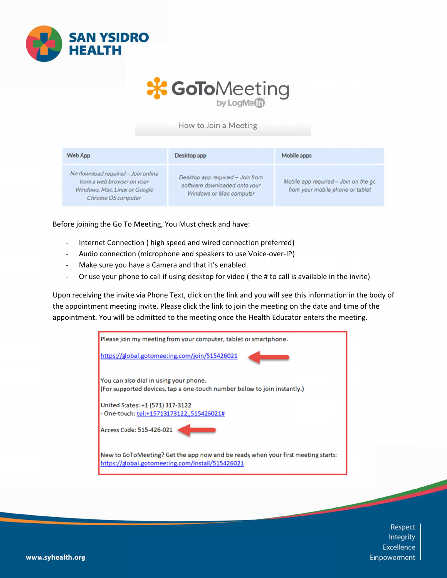

## \* GoToMeeting by LogMe<sup>(</sup>

How to Join a Meeting

| Web App                                                                                                                 | Desktop app                                                                                  | Mobile apps                                                              |
|-------------------------------------------------------------------------------------------------------------------------|----------------------------------------------------------------------------------------------|--------------------------------------------------------------------------|
| No download required - Join online<br>from a web browser on your<br>Windows, Mac, Linux or Google<br>Chrome OS computer | Desktop app required - Join from<br>software downloaded onto your<br>Windows or Mac computer | Mobile app required - Join on the go<br>from your mobile phone or tablet |

Before joining the Go To Meeting, You Must check and have:

- Internet Connection (high speed and wired connection preferred)
- Audio connection (microphone and speakers to use Voice-over-IP)
- Make sure you have a Camera and that it's enabled.  $\overline{a}$
- Or use your phone to call if using desktop for video (the # to call is available in the invite)

Upon receiving the invite via Phone Text, click on the link and you will see this information in the body of the appointment meeting invite. Please click the link to join the meeting on the date and time of the appointment. You will be admitted to the meeting once the Health Educator enters the meeting.



Respect Integrity **Excellence** Empowerment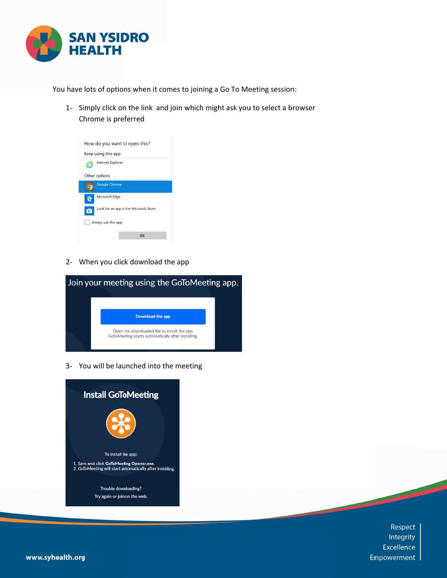

You have lots of options when it comes to joining a Go To Meeting session:

1- Simply click on the link and join which might ask you to select a browser C hrome is pref ferred



2‐ W When you click k download t he app



3- You will be launched into the meeting



Respect Integrity **Excellence** Empowerment